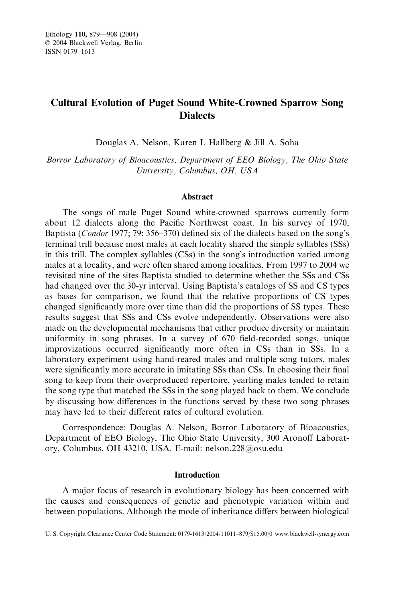# Cultural Evolution of Puget Sound White-Crowned Sparrow Song **Dialects**

Douglas A. Nelson, Karen I. Hallberg & Jill A. Soha

Borror Laboratory of Bioacoustics, Department of EEO Biology, The Ohio State University, Columbus, OH, USA

# **Abstract**

The songs of male Puget Sound white-crowned sparrows currently form about 12 dialects along the Pacific Northwest coast. In his survey of 1970, Baptista (Condor 1977; 79: 356–370) defined six of the dialects based on the song's terminal trill because most males at each locality shared the simple syllables (SSs) in this trill. The complex syllables (CSs) in the song's introduction varied among males at a locality, and were often shared among localities. From 1997 to 2004 we revisited nine of the sites Baptista studied to determine whether the SSs and CSs had changed over the 30-yr interval. Using Baptista's catalogs of SS and CS types as bases for comparison, we found that the relative proportions of CS types changed significantly more over time than did the proportions of SS types. These results suggest that SSs and CSs evolve independently. Observations were also made on the developmental mechanisms that either produce diversity or maintain uniformity in song phrases. In a survey of 670 field-recorded songs, unique improvizations occurred significantly more often in CSs than in SSs. In a laboratory experiment using hand-reared males and multiple song tutors, males were significantly more accurate in imitating SSs than CSs. In choosing their final song to keep from their overproduced repertoire, yearling males tended to retain the song type that matched the SSs in the song played back to them. We conclude by discussing how differences in the functions served by these two song phrases may have led to their different rates of cultural evolution.

Correspondence: Douglas A. Nelson, Borror Laboratory of Bioacoustics, Department of EEO Biology, The Ohio State University, 300 Aronoff Laboratory, Columbus, OH 43210, USA. E-mail: nelson.228@osu.edu

# Introduction

A major focus of research in evolutionary biology has been concerned with the causes and consequences of genetic and phenotypic variation within and between populations. Although the mode of inheritance differs between biological

U. S. Copyright Clearance Center Code Statement: 0179-1613/2004/11011–879/\$15.00/0 www.blackwell-synergy.com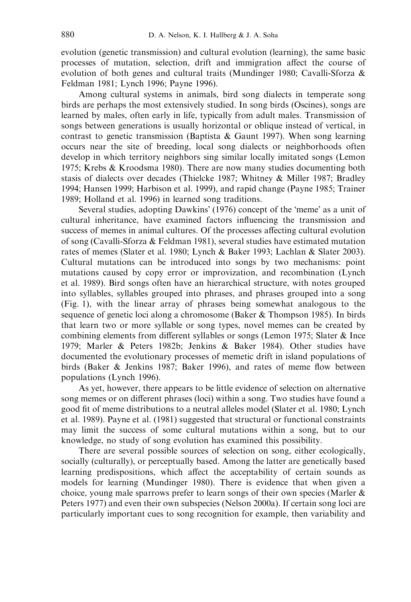evolution (genetic transmission) and cultural evolution (learning), the same basic processes of mutation, selection, drift and immigration affect the course of evolution of both genes and cultural traits (Mundinger 1980; Cavalli-Sforza & Feldman 1981; Lynch 1996; Payne 1996).

Among cultural systems in animals, bird song dialects in temperate song birds are perhaps the most extensively studied. In song birds (Oscines), songs are learned by males, often early in life, typically from adult males. Transmission of songs between generations is usually horizontal or oblique instead of vertical, in contrast to genetic transmission (Baptista & Gaunt 1997). When song learning occurs near the site of breeding, local song dialects or neighborhoods often develop in which territory neighbors sing similar locally imitated songs (Lemon 1975; Krebs & Kroodsma 1980). There are now many studies documenting both stasis of dialects over decades (Thielcke 1987; Whitney & Miller 1987; Bradley 1994; Hansen 1999; Harbison et al. 1999), and rapid change (Payne 1985; Trainer 1989; Holland et al. 1996) in learned song traditions.

Several studies, adopting Dawkins' (1976) concept of the 'meme' as a unit of cultural inheritance, have examined factors influencing the transmission and success of memes in animal cultures. Of the processes affecting cultural evolution of song (Cavalli-Sforza & Feldman 1981), several studies have estimated mutation rates of memes (Slater et al. 1980; Lynch & Baker 1993; Lachlan & Slater 2003). Cultural mutations can be introduced into songs by two mechanisms: point mutations caused by copy error or improvization, and recombination (Lynch et al. 1989). Bird songs often have an hierarchical structure, with notes grouped into syllables, syllables grouped into phrases, and phrases grouped into a song (Fig. 1), with the linear array of phrases being somewhat analogous to the sequence of genetic loci along a chromosome (Baker & Thompson 1985). In birds that learn two or more syllable or song types, novel memes can be created by combining elements from different syllables or songs (Lemon 1975; Slater & Ince 1979; Marler & Peters 1982b; Jenkins & Baker 1984). Other studies have documented the evolutionary processes of memetic drift in island populations of birds (Baker & Jenkins 1987; Baker 1996), and rates of meme flow between populations (Lynch 1996).

As yet, however, there appears to be little evidence of selection on alternative song memes or on different phrases (loci) within a song. Two studies have found a good fit of meme distributions to a neutral alleles model (Slater et al. 1980; Lynch et al. 1989). Payne et al. (1981) suggested that structural or functional constraints may limit the success of some cultural mutations within a song, but to our knowledge, no study of song evolution has examined this possibility.

There are several possible sources of selection on song, either ecologically, socially (culturally), or perceptually based. Among the latter are genetically based learning predispositions, which affect the acceptability of certain sounds as models for learning (Mundinger 1980). There is evidence that when given a choice, young male sparrows prefer to learn songs of their own species (Marler & Peters 1977) and even their own subspecies (Nelson 2000a). If certain song loci are particularly important cues to song recognition for example, then variability and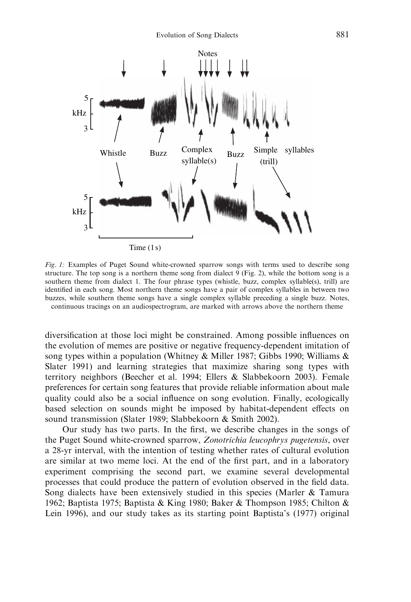

Fig. 1: Examples of Puget Sound white-crowned sparrow songs with terms used to describe song structure. The top song is a northern theme song from dialect 9 (Fig. 2), while the bottom song is a southern theme from dialect 1. The four phrase types (whistle, buzz, complex syllable(s), trill) are identified in each song. Most northern theme songs have a pair of complex syllables in between two buzzes, while southern theme songs have a single complex syllable preceding a single buzz. Notes, continuous tracings on an audiospectrogram, are marked with arrows above the northern theme

diversification at those loci might be constrained. Among possible influences on the evolution of memes are positive or negative frequency-dependent imitation of song types within a population (Whitney & Miller 1987; Gibbs 1990; Williams  $\&$ Slater 1991) and learning strategies that maximize sharing song types with territory neighbors (Beecher et al. 1994; Ellers & Slabbekoorn 2003). Female preferences for certain song features that provide reliable information about male quality could also be a social influence on song evolution. Finally, ecologically based selection on sounds might be imposed by habitat-dependent effects on sound transmission (Slater 1989; Slabbekoorn & Smith 2002).

Our study has two parts. In the first, we describe changes in the songs of the Puget Sound white-crowned sparrow, Zonotrichia leucophrys pugetensis, over a 28-yr interval, with the intention of testing whether rates of cultural evolution are similar at two meme loci. At the end of the first part, and in a laboratory experiment comprising the second part, we examine several developmental processes that could produce the pattern of evolution observed in the field data. Song dialects have been extensively studied in this species (Marler & Tamura 1962; Baptista 1975; Baptista & King 1980; Baker & Thompson 1985; Chilton & Lein 1996), and our study takes as its starting point Baptista's (1977) original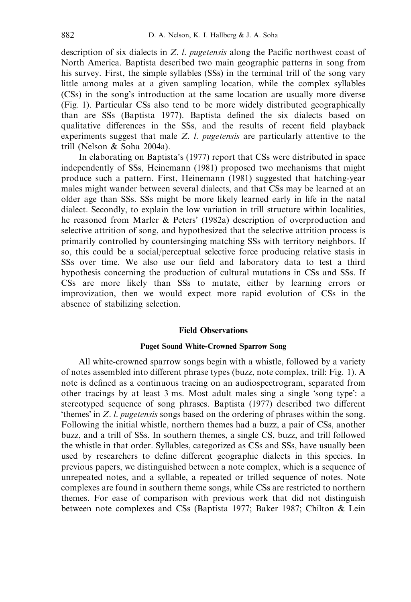description of six dialects in Z. l. pugetensis along the Pacific northwest coast of North America. Baptista described two main geographic patterns in song from his survey. First, the simple syllables (SSs) in the terminal trill of the song vary little among males at a given sampling location, while the complex syllables (CSs) in the song's introduction at the same location are usually more diverse (Fig. 1). Particular CSs also tend to be more widely distributed geographically than are SSs (Baptista 1977). Baptista defined the six dialects based on qualitative differences in the SSs, and the results of recent field playback experiments suggest that male Z. l. pugetensis are particularly attentive to the trill (Nelson & Soha 2004a).

In elaborating on Baptista's (1977) report that CSs were distributed in space independently of SSs, Heinemann (1981) proposed two mechanisms that might produce such a pattern. First, Heinemann (1981) suggested that hatching-year males might wander between several dialects, and that CSs may be learned at an older age than SSs. SSs might be more likely learned early in life in the natal dialect. Secondly, to explain the low variation in trill structure within localities, he reasoned from Marler & Peters' (1982a) description of overproduction and selective attrition of song, and hypothesized that the selective attrition process is primarily controlled by countersinging matching SSs with territory neighbors. If so, this could be a social/perceptual selective force producing relative stasis in SSs over time. We also use our field and laboratory data to test a third hypothesis concerning the production of cultural mutations in CSs and SSs. If CSs are more likely than SSs to mutate, either by learning errors or improvization, then we would expect more rapid evolution of CSs in the absence of stabilizing selection.

### Field Observations

# Puget Sound White-Crowned Sparrow Song

All white-crowned sparrow songs begin with a whistle, followed by a variety of notes assembled into different phrase types (buzz, note complex, trill: Fig. 1). A note is defined as a continuous tracing on an audiospectrogram, separated from other tracings by at least 3 ms. Most adult males sing a single 'song type': a stereotyped sequence of song phrases. Baptista (1977) described two different themes' in Z. l. pugetensis songs based on the ordering of phrases within the song. Following the initial whistle, northern themes had a buzz, a pair of CSs, another buzz, and a trill of SSs. In southern themes, a single CS, buzz, and trill followed the whistle in that order. Syllables, categorized as CSs and SSs, have usually been used by researchers to define different geographic dialects in this species. In previous papers, we distinguished between a note complex, which is a sequence of unrepeated notes, and a syllable, a repeated or trilled sequence of notes. Note complexes are found in southern theme songs, while CSs are restricted to northern themes. For ease of comparison with previous work that did not distinguish between note complexes and CSs (Baptista 1977; Baker 1987; Chilton & Lein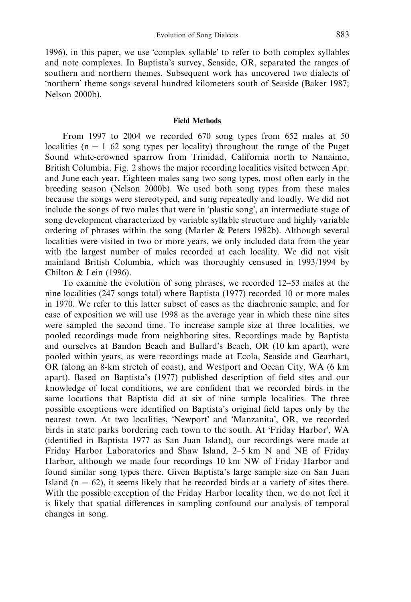1996), in this paper, we use 'complex syllable' to refer to both complex syllables and note complexes. In Baptista's survey, Seaside, OR, separated the ranges of southern and northern themes. Subsequent work has uncovered two dialects of 'northern' theme songs several hundred kilometers south of Seaside (Baker 1987; Nelson 2000b).

### Field Methods

From 1997 to 2004 we recorded 670 song types from 652 males at 50 localities ( $n = 1-62$  song types per locality) throughout the range of the Puget Sound white-crowned sparrow from Trinidad, California north to Nanaimo, British Columbia. Fig. 2 shows the major recording localities visited between Apr. and June each year. Eighteen males sang two song types, most often early in the breeding season (Nelson 2000b). We used both song types from these males because the songs were stereotyped, and sung repeatedly and loudly. We did not include the songs of two males that were in 'plastic song', an intermediate stage of song development characterized by variable syllable structure and highly variable ordering of phrases within the song (Marler & Peters 1982b). Although several localities were visited in two or more years, we only included data from the year with the largest number of males recorded at each locality. We did not visit mainland British Columbia, which was thoroughly censused in 1993/1994 by Chilton & Lein (1996).

To examine the evolution of song phrases, we recorded 12–53 males at the nine localities (247 songs total) where Baptista (1977) recorded 10 or more males in 1970. We refer to this latter subset of cases as the diachronic sample, and for ease of exposition we will use 1998 as the average year in which these nine sites were sampled the second time. To increase sample size at three localities, we pooled recordings made from neighboring sites. Recordings made by Baptista and ourselves at Bandon Beach and Bullard's Beach, OR (10 km apart), were pooled within years, as were recordings made at Ecola, Seaside and Gearhart, OR (along an 8-km stretch of coast), and Westport and Ocean City, WA (6 km apart). Based on Baptista's (1977) published description of field sites and our knowledge of local conditions, we are confident that we recorded birds in the same locations that Baptista did at six of nine sample localities. The three possible exceptions were identified on Baptista's original field tapes only by the nearest town. At two localities, 'Newport' and 'Manzanita', OR, we recorded birds in state parks bordering each town to the south. At 'Friday Harbor', WA (identified in Baptista 1977 as San Juan Island), our recordings were made at Friday Harbor Laboratories and Shaw Island, 2–5 km N and NE of Friday Harbor, although we made four recordings 10 km NW of Friday Harbor and found similar song types there. Given Baptista's large sample size on San Juan Island ( $n = 62$ ), it seems likely that he recorded birds at a variety of sites there. With the possible exception of the Friday Harbor locality then, we do not feel it is likely that spatial differences in sampling confound our analysis of temporal changes in song.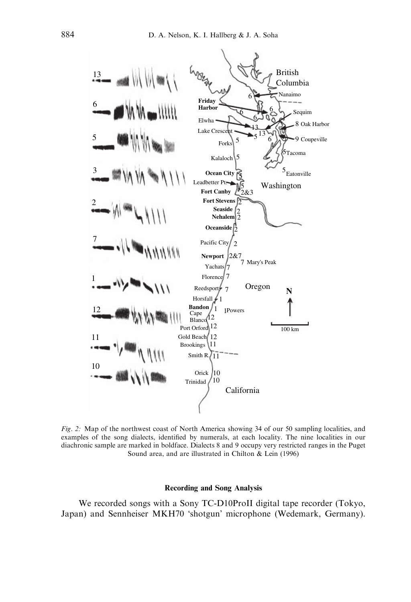

Fig. 2: Map of the northwest coast of North America showing 34 of our 50 sampling localities, and examples of the song dialects, identified by numerals, at each locality. The nine localities in our diachronic sample are marked in boldface. Dialects 8 and 9 occupy very restricted ranges in the Puget Sound area, and are illustrated in Chilton & Lein (1996)

### Recording and Song Analysis

We recorded songs with a Sony TC-D10ProII digital tape recorder (Tokyo, Japan) and Sennheiser MKH70 'shotgun' microphone (Wedemark, Germany).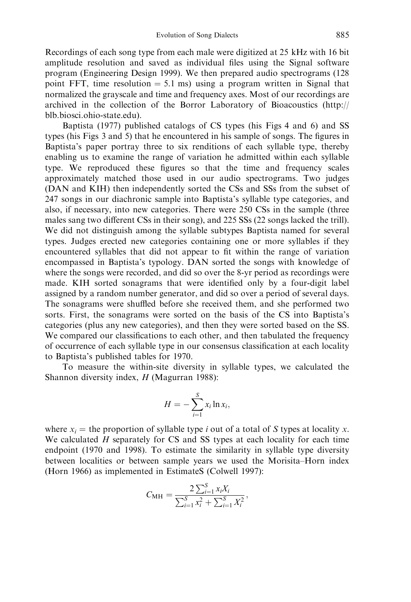Recordings of each song type from each male were digitized at 25 kHz with 16 bit amplitude resolution and saved as individual files using the Signal software program (Engineering Design 1999). We then prepared audio spectrograms (128 point FFT, time resolution  $= 5.1$  ms) using a program written in Signal that normalized the grayscale and time and frequency axes. Most of our recordings are archived in the collection of the Borror Laboratory of Bioacoustics (http:// blb.biosci.ohio-state.edu).

Baptista (1977) published catalogs of CS types (his Figs 4 and 6) and SS types (his Figs 3 and 5) that he encountered in his sample of songs. The figures in Baptista's paper portray three to six renditions of each syllable type, thereby enabling us to examine the range of variation he admitted within each syllable type. We reproduced these figures so that the time and frequency scales approximately matched those used in our audio spectrograms. Two judges (DAN and KIH) then independently sorted the CSs and SSs from the subset of 247 songs in our diachronic sample into Baptista's syllable type categories, and also, if necessary, into new categories. There were 250 CSs in the sample (three males sang two different CSs in their song), and 225 SSs (22 songs lacked the trill). We did not distinguish among the syllable subtypes Baptista named for several types. Judges erected new categories containing one or more syllables if they encountered syllables that did not appear to fit within the range of variation encompassed in Baptista's typology. DAN sorted the songs with knowledge of where the songs were recorded, and did so over the 8-yr period as recordings were made. KIH sorted sonagrams that were identified only by a four-digit label assigned by a random number generator, and did so over a period of several days. The sonagrams were shuffled before she received them, and she performed two sorts. First, the sonagrams were sorted on the basis of the CS into Baptista's categories (plus any new categories), and then they were sorted based on the SS. We compared our classifications to each other, and then tabulated the frequency of occurrence of each syllable type in our consensus classification at each locality to Baptista's published tables for 1970.

To measure the within-site diversity in syllable types, we calculated the Shannon diversity index,  $H$  (Magurran 1988):

$$
H=-\sum_{i=1}^S x_i \ln x_i,
$$

where  $x_i$  = the proportion of syllable type i out of a total of S types at locality x. We calculated  $H$  separately for CS and SS types at each locality for each time endpoint (1970 and 1998). To estimate the similarity in syllable type diversity between localities or between sample years we used the Morisita–Horn index (Horn 1966) as implemented in EstimateS (Colwell 1997):

$$
C_{\text{MH}} = \frac{2 \sum_{i=1}^{S} x_i X_i}{\sum_{i=1}^{S} x_i^2 + \sum_{i=1}^{S} X_i^2},
$$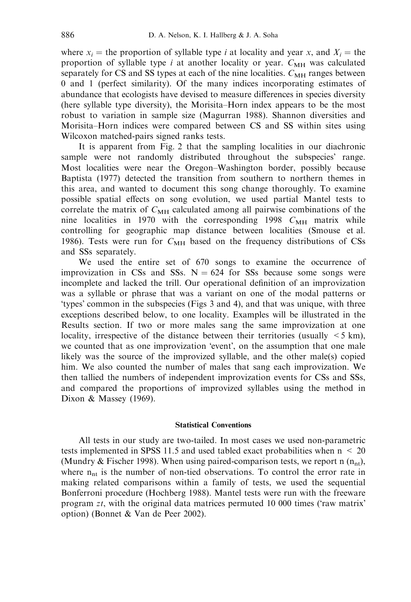where  $x_i$  = the proportion of syllable type *i* at locality and year x, and  $X_i$  = the proportion of syllable type i at another locality or year.  $C_{MH}$  was calculated separately for CS and SS types at each of the nine localities.  $C_{MH}$  ranges between 0 and 1 (perfect similarity). Of the many indices incorporating estimates of abundance that ecologists have devised to measure differences in species diversity (here syllable type diversity), the Morisita–Horn index appears to be the most robust to variation in sample size (Magurran 1988). Shannon diversities and Morisita–Horn indices were compared between CS and SS within sites using Wilcoxon matched-pairs signed ranks tests.

It is apparent from Fig. 2 that the sampling localities in our diachronic sample were not randomly distributed throughout the subspecies' range. Most localities were near the Oregon–Washington border, possibly because Baptista (1977) detected the transition from southern to northern themes in this area, and wanted to document this song change thoroughly. To examine possible spatial effects on song evolution, we used partial Mantel tests to correlate the matrix of  $C_{\text{MH}}$  calculated among all pairwise combinations of the nine localities in 1970 with the corresponding 1998  $C_{MH}$  matrix while controlling for geographic map distance between localities (Smouse et al. 1986). Tests were run for  $C_{MH}$  based on the frequency distributions of CSs and SSs separately.

We used the entire set of 670 songs to examine the occurrence of improvization in CSs and SSs.  $N = 624$  for SSs because some songs were incomplete and lacked the trill. Our operational definition of an improvization was a syllable or phrase that was a variant on one of the modal patterns or 'types' common in the subspecies (Figs 3 and 4), and that was unique, with three exceptions described below, to one locality. Examples will be illustrated in the Results section. If two or more males sang the same improvization at one locality, irrespective of the distance between their territories (usually  $\leq$  5 km), we counted that as one improvization 'event', on the assumption that one male likely was the source of the improvized syllable, and the other male(s) copied him. We also counted the number of males that sang each improvization. We then tallied the numbers of independent improvization events for CSs and SSs, and compared the proportions of improvized syllables using the method in Dixon & Massey (1969).

### Statistical Conventions

All tests in our study are two-tailed. In most cases we used non-parametric tests implemented in SPSS 11.5 and used tabled exact probabilities when  $n < 20$ (Mundry & Fischer 1998). When using paired-comparison tests, we report n  $(n_{nt})$ , where  $n<sub>nt</sub>$  is the number of non-tied observations. To control the error rate in making related comparisons within a family of tests, we used the sequential Bonferroni procedure (Hochberg 1988). Mantel tests were run with the freeware program  $zt$ , with the original data matrices permuted 10 000 times ('raw matrix' option) (Bonnet & Van de Peer 2002).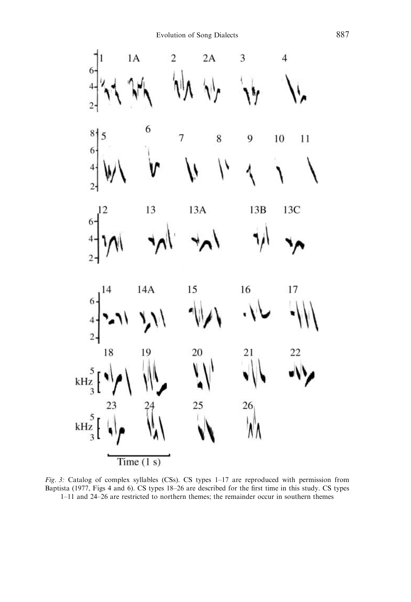

Fig. 3: Catalog of complex syllables (CSs). CS types 1–17 are reproduced with permission from Baptista (1977, Figs 4 and 6). CS types 18–26 are described for the first time in this study. CS types 1–11 and 24–26 are restricted to northern themes; the remainder occur in southern themes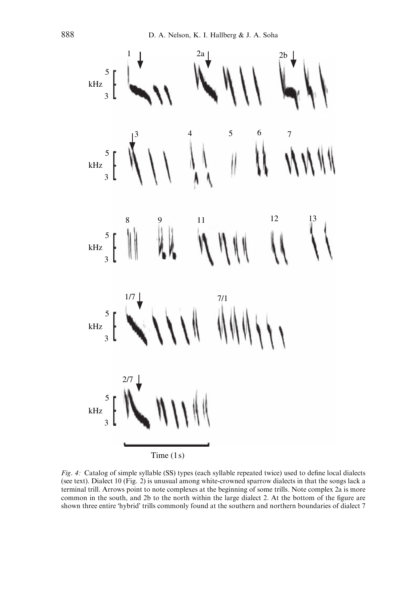

Time  $(1s)$ 

Fig. 4: Catalog of simple syllable (SS) types (each syllable repeated twice) used to define local dialects (see text). Dialect 10 (Fig. 2) is unusual among white-crowned sparrow dialects in that the songs lack a terminal trill. Arrows point to note complexes at the beginning of some trills. Note complex 2a is more common in the south, and 2b to the north within the large dialect 2. At the bottom of the figure are shown three entire 'hybrid' trills commonly found at the southern and northern boundaries of dialect 7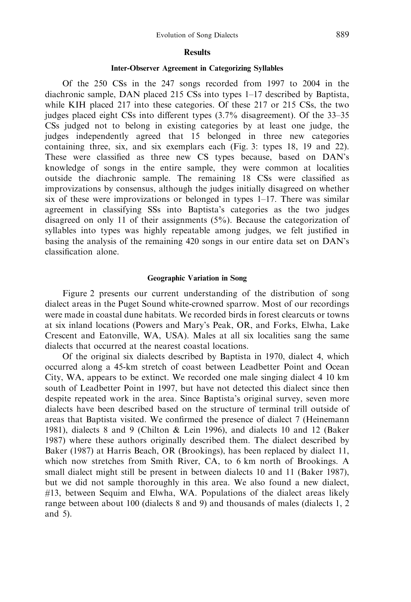### **Results**

#### Inter-Observer Agreement in Categorizing Syllables

Of the 250 CSs in the 247 songs recorded from 1997 to 2004 in the diachronic sample, DAN placed 215 CSs into types 1–17 described by Baptista, while KIH placed 217 into these categories. Of these 217 or 215 CSs, the two judges placed eight CSs into different types (3.7% disagreement). Of the 33–35 CSs judged not to belong in existing categories by at least one judge, the judges independently agreed that 15 belonged in three new categories containing three, six, and six exemplars each (Fig. 3: types 18, 19 and 22). These were classified as three new CS types because, based on DAN's knowledge of songs in the entire sample, they were common at localities outside the diachronic sample. The remaining 18 CSs were classified as improvizations by consensus, although the judges initially disagreed on whether six of these were improvizations or belonged in types  $1-17$ . There was similar agreement in classifying SSs into Baptista's categories as the two judges disagreed on only 11 of their assignments (5%). Because the categorization of syllables into types was highly repeatable among judges, we felt justified in basing the analysis of the remaining 420 songs in our entire data set on DAN's classification alone.

# Geographic Variation in Song

Figure 2 presents our current understanding of the distribution of song dialect areas in the Puget Sound white-crowned sparrow. Most of our recordings were made in coastal dune habitats. We recorded birds in forest clearcuts or towns at six inland locations (Powers and Mary's Peak, OR, and Forks, Elwha, Lake Crescent and Eatonville, WA, USA). Males at all six localities sang the same dialects that occurred at the nearest coastal locations.

Of the original six dialects described by Baptista in 1970, dialect 4, which occurred along a 45-km stretch of coast between Leadbetter Point and Ocean City, WA, appears to be extinct. We recorded one male singing dialect 4 10 km south of Leadbetter Point in 1997, but have not detected this dialect since then despite repeated work in the area. Since Baptista's original survey, seven more dialects have been described based on the structure of terminal trill outside of areas that Baptista visited. We confirmed the presence of dialect 7 (Heinemann 1981), dialects 8 and 9 (Chilton & Lein 1996), and dialects 10 and 12 (Baker 1987) where these authors originally described them. The dialect described by Baker (1987) at Harris Beach, OR (Brookings), has been replaced by dialect 11, which now stretches from Smith River, CA, to 6 km north of Brookings. A small dialect might still be present in between dialects 10 and 11 (Baker 1987), but we did not sample thoroughly in this area. We also found a new dialect, #13, between Sequim and Elwha, WA. Populations of the dialect areas likely range between about 100 (dialects 8 and 9) and thousands of males (dialects 1, 2 and 5).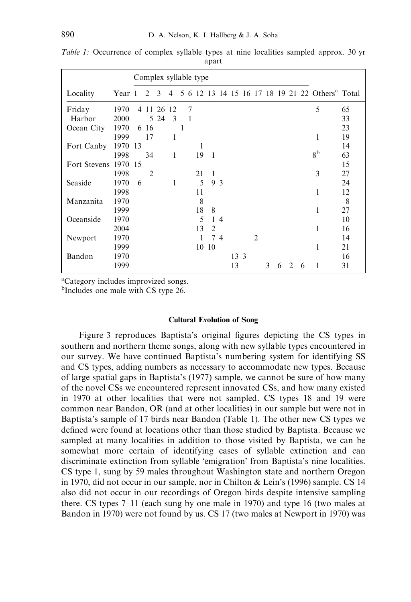|              |        | Complex syllable type |                |       |                |   |    |                |                |                |      |                |   |   |                               |   |                                                             |    |
|--------------|--------|-----------------------|----------------|-------|----------------|---|----|----------------|----------------|----------------|------|----------------|---|---|-------------------------------|---|-------------------------------------------------------------|----|
| Locality     | Year 1 |                       | 2              | 3     | $\overline{4}$ |   |    |                |                |                |      |                |   |   |                               |   | 5 6 12 13 14 15 16 17 18 19 21 22 Others <sup>a</sup> Total |    |
| Friday       | 1970   | 4                     | 11             | 26 12 |                |   | 7  |                |                |                |      |                |   |   |                               |   | 5                                                           | 65 |
| Harbor       | 2000   |                       |                | 5 24  | 3              |   | -1 |                |                |                |      |                |   |   |                               |   |                                                             | 33 |
| Ocean City   | 1970   |                       | 6 16           |       |                | 1 |    |                |                |                |      |                |   |   |                               |   |                                                             | 23 |
|              | 1999   |                       | 17             |       | 1              |   |    |                |                |                |      |                |   |   |                               |   | 1                                                           | 19 |
| Fort Canby   | 1970   | 13                    |                |       |                |   |    | 1              |                |                |      |                |   |   |                               |   |                                                             | 14 |
|              | 1998   |                       | 34             |       | 1              |   |    | 19             | $\overline{1}$ |                |      |                |   |   |                               |   | 8 <sup>b</sup>                                              | 63 |
| Fort Stevens | 1970   | -15                   |                |       |                |   |    |                |                |                |      |                |   |   |                               |   |                                                             | 15 |
|              | 1998   |                       | $\overline{2}$ |       |                |   |    | 21             | 1              |                |      |                |   |   |                               |   | 3                                                           | 27 |
| Seaside      | 1970   | 6                     |                |       | 1              |   |    | $\overline{5}$ |                | 9 3            |      |                |   |   |                               |   |                                                             | 24 |
|              | 1998   |                       |                |       |                |   |    | 11             |                |                |      |                |   |   |                               |   | 1                                                           | 12 |
| Manzanita    | 1970   |                       |                |       |                |   |    | 8              |                |                |      |                |   |   |                               |   |                                                             | 8  |
|              | 1999   |                       |                |       |                |   |    | 18             | 8              |                |      |                |   |   |                               |   | 1                                                           | 27 |
| Oceanside    | 1970   |                       |                |       |                |   |    | $\overline{5}$ | 1              | $\overline{4}$ |      |                |   |   |                               |   |                                                             | 10 |
|              | 2004   |                       |                |       |                |   |    | 13             | $\mathfrak{D}$ |                |      |                |   |   |                               |   | 1                                                           | 16 |
| Newport      | 1970   |                       |                |       |                |   |    |                |                | 74             |      | $\mathfrak{D}$ |   |   |                               |   |                                                             | 14 |
|              | 1999   |                       |                |       |                |   |    |                | 10 10          |                |      |                |   |   |                               |   | 1                                                           | 21 |
| Bandon       | 1970   |                       |                |       |                |   |    |                |                |                | 13 3 |                |   |   |                               |   |                                                             | 16 |
|              | 1999   |                       |                |       |                |   |    |                |                |                | 13   |                | 3 | 6 | $\mathfrak{D}_{\mathfrak{p}}$ | 6 | 1                                                           | 31 |

Table 1: Occurrence of complex syllable types at nine localities sampled approx. 30 yr apart

<sup>a</sup>Category includes improvized songs.

<sup>b</sup>Includes one male with CS type 26.

#### Cultural Evolution of Song

Figure 3 reproduces Baptista's original figures depicting the CS types in southern and northern theme songs, along with new syllable types encountered in our survey. We have continued Baptista's numbering system for identifying SS and CS types, adding numbers as necessary to accommodate new types. Because of large spatial gaps in Baptista's (1977) sample, we cannot be sure of how many of the novel CSs we encountered represent innovated CSs, and how many existed in 1970 at other localities that were not sampled. CS types 18 and 19 were common near Bandon, OR (and at other localities) in our sample but were not in Baptista's sample of 17 birds near Bandon (Table 1). The other new CS types we defined were found at locations other than those studied by Baptista. Because we sampled at many localities in addition to those visited by Baptista, we can be somewhat more certain of identifying cases of syllable extinction and can discriminate extinction from syllable 'emigration' from Baptista's nine localities. CS type 1, sung by 59 males throughout Washington state and northern Oregon in 1970, did not occur in our sample, nor in Chilton & Lein's (1996) sample. CS 14 also did not occur in our recordings of Oregon birds despite intensive sampling there. CS types 7–11 (each sung by one male in 1970) and type 16 (two males at Bandon in 1970) were not found by us. CS 17 (two males at Newport in 1970) was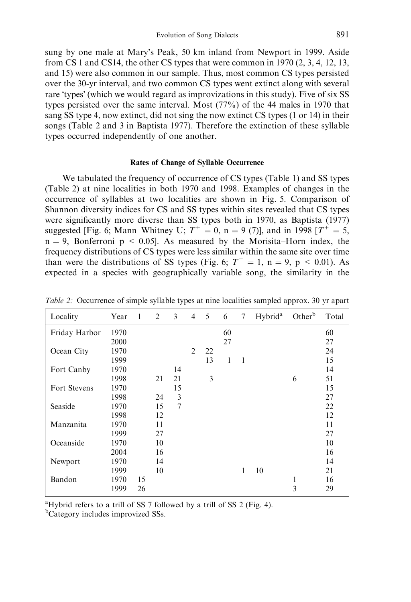sung by one male at Mary's Peak, 50 km inland from Newport in 1999. Aside from CS 1 and CS14, the other CS types that were common in 1970 (2, 3, 4, 12, 13, and 15) were also common in our sample. Thus, most common CS types persisted over the 30-yr interval, and two common CS types went extinct along with several rare 'types' (which we would regard as improvizations in this study). Five of six SS types persisted over the same interval. Most (77%) of the 44 males in 1970 that sang SS type 4, now extinct, did not sing the now extinct CS types (1 or 14) in their songs (Table 2 and 3 in Baptista 1977). Therefore the extinction of these syllable types occurred independently of one another.

### Rates of Change of Syllable Occurrence

We tabulated the frequency of occurrence of CS types (Table 1) and SS types (Table 2) at nine localities in both 1970 and 1998. Examples of changes in the occurrence of syllables at two localities are shown in Fig. 5. Comparison of Shannon diversity indices for CS and SS types within sites revealed that CS types were significantly more diverse than SS types both in 1970, as Baptista (1977) suggested [Fig. 6; Mann–Whitney U;  $T^+ = 0$ , n = 9 (7)], and in 1998 [ $T^+ = 5$ ,  $n = 9$ , Bonferroni  $p \le 0.05$ . As measured by the Morisita–Horn index, the frequency distributions of CS types were less similar within the same site over time than were the distributions of SS types (Fig. 6;  $T^+ = 1$ , n = 9, p < 0.01). As expected in a species with geographically variable song, the similarity in the

| Locality      | Year | 1  | 2  | 3              | $\overline{4}$ | 5  | 6  | 7 | Hybrid <sup>a</sup> | Other <sup>b</sup> | Total |
|---------------|------|----|----|----------------|----------------|----|----|---|---------------------|--------------------|-------|
| Friday Harbor | 1970 |    |    |                |                |    | 60 |   |                     |                    | 60    |
|               | 2000 |    |    |                |                |    | 27 |   |                     |                    | 27    |
| Ocean City    | 1970 |    |    |                | 2              | 22 |    |   |                     |                    | 24    |
|               | 1999 |    |    |                |                | 13 | 1  | 1 |                     |                    | 15    |
| Fort Canby    | 1970 |    |    | 14             |                |    |    |   |                     |                    | 14    |
|               | 1998 |    | 21 | 21             |                | 3  |    |   |                     | 6                  | 51    |
| Fort Stevens  | 1970 |    |    | 15             |                |    |    |   |                     |                    | 15    |
|               | 1998 |    | 24 | 3              |                |    |    |   |                     |                    | 27    |
| Seaside       | 1970 |    | 15 | $\overline{7}$ |                |    |    |   |                     |                    | 22    |
|               | 1998 |    | 12 |                |                |    |    |   |                     |                    | 12    |
| Manzanita     | 1970 |    | 11 |                |                |    |    |   |                     |                    | 11    |
|               | 1999 |    | 27 |                |                |    |    |   |                     |                    | 27    |
| Oceanside     | 1970 |    | 10 |                |                |    |    |   |                     |                    | 10    |
|               | 2004 |    | 16 |                |                |    |    |   |                     |                    | 16    |
| Newport       | 1970 |    | 14 |                |                |    |    |   |                     |                    | 14    |
|               | 1999 |    | 10 |                |                |    |    | 1 | 10                  |                    | 21    |
| Bandon        | 1970 | 15 |    |                |                |    |    |   |                     | 1                  | 16    |
|               | 1999 | 26 |    |                |                |    |    |   |                     | 3                  | 29    |

Table 2: Occurrence of simple syllable types at nine localities sampled approx. 30 yr apart

<sup>a</sup>Hybrid refers to a trill of SS 7 followed by a trill of SS 2 (Fig. 4).

<sup>b</sup>Category includes improvized SSs.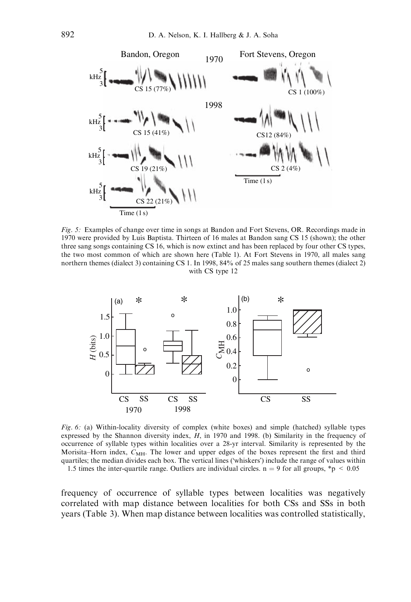

Fig. 5: Examples of change over time in songs at Bandon and Fort Stevens, OR. Recordings made in 1970 were provided by Luis Baptista. Thirteen of 16 males at Bandon sang CS 15 (shown); the other three sang songs containing CS 16, which is now extinct and has been replaced by four other CS types, the two most common of which are shown here (Table 1). At Fort Stevens in 1970, all males sang northern themes (dialect 3) containing CS 1. In 1998, 84% of 25 males sang southern themes (dialect 2) with CS type 12



Fig. 6: (a) Within-locality diversity of complex (white boxes) and simple (hatched) syllable types expressed by the Shannon diversity index, H, in 1970 and 1998. (b) Similarity in the frequency of occurrence of syllable types within localities over a 28-yr interval. Similarity is represented by the Morisita–Horn index,  $C_{\text{MH}}$ . The lower and upper edges of the boxes represent the first and third quartiles; the median divides each box. The vertical lines ('whiskers') include the range of values within 1.5 times the inter-quartile range. Outliers are individual circles.  $n = 9$  for all groups,  $\frac{1}{p} < 0.05$ 

frequency of occurrence of syllable types between localities was negatively correlated with map distance between localities for both CSs and SSs in both years (Table 3). When map distance between localities was controlled statistically,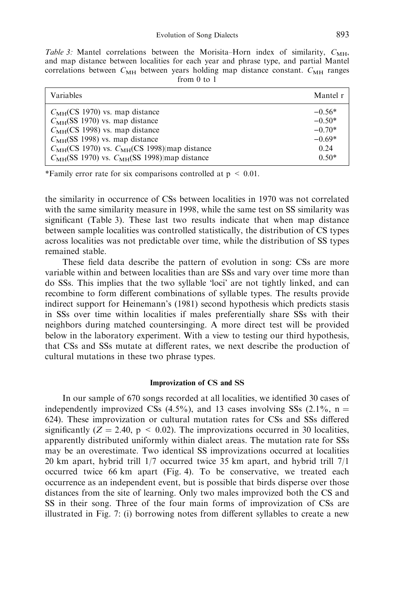Table 3: Mantel correlations between the Morisita–Horn index of similarity,  $C_{\text{MH}}$ , and map distance between localities for each year and phrase type, and partial Mantel correlations between  $C_{\text{MH}}$  between years holding map distance constant.  $C_{\text{MH}}$  ranges from 0 to 1

| $-0.56*$                                                                                                                                                                                                                                                                             | Variables                          | Mantel r |
|--------------------------------------------------------------------------------------------------------------------------------------------------------------------------------------------------------------------------------------------------------------------------------------|------------------------------------|----------|
| $-0.50*$<br>$C_{MH}(SS 1970)$ vs. map distance<br>$C_{MH}(CS 1998)$ vs. map distance<br>$-0.70*$<br>$CMH(SS 1998)$ vs. map distance<br>$-0.69*$<br>$C_{MH}(CS 1970)$ vs. $C_{MH}(CS 1998)$ map distance<br>0.24<br>$C_{MH}$ (SS 1970) vs. $C_{MH}$ (SS 1998) map distance<br>$0.50*$ | $C_{MH}(CS 1970)$ vs. map distance |          |

\*Family error rate for six comparisons controlled at  $p \le 0.01$ .

the similarity in occurrence of CSs between localities in 1970 was not correlated with the same similarity measure in 1998, while the same test on SS similarity was significant (Table 3). These last two results indicate that when map distance between sample localities was controlled statistically, the distribution of CS types across localities was not predictable over time, while the distribution of SS types remained stable.

These field data describe the pattern of evolution in song: CSs are more variable within and between localities than are SSs and vary over time more than do SSs. This implies that the two syllable 'loci' are not tightly linked, and can recombine to form different combinations of syllable types. The results provide indirect support for Heinemann's (1981) second hypothesis which predicts stasis in SSs over time within localities if males preferentially share SSs with their neighbors during matched countersinging. A more direct test will be provided below in the laboratory experiment. With a view to testing our third hypothesis, that CSs and SSs mutate at different rates, we next describe the production of cultural mutations in these two phrase types.

### Improvization of CS and SS

In our sample of 670 songs recorded at all localities, we identified 30 cases of independently improvized CSs (4.5%), and 13 cases involving SSs (2.1%,  $n =$ 624). These improvization or cultural mutation rates for CSs and SSs differed significantly ( $Z = 2.40$ ,  $p \le 0.02$ ). The improvizations occurred in 30 localities, apparently distributed uniformly within dialect areas. The mutation rate for SSs may be an overestimate. Two identical SS improvizations occurred at localities 20 km apart, hybrid trill 1/7 occurred twice 35 km apart, and hybrid trill 7/1 occurred twice 66 km apart (Fig. 4). To be conservative, we treated each occurrence as an independent event, but is possible that birds disperse over those distances from the site of learning. Only two males improvized both the CS and SS in their song. Three of the four main forms of improvization of CSs are illustrated in Fig. 7: (i) borrowing notes from different syllables to create a new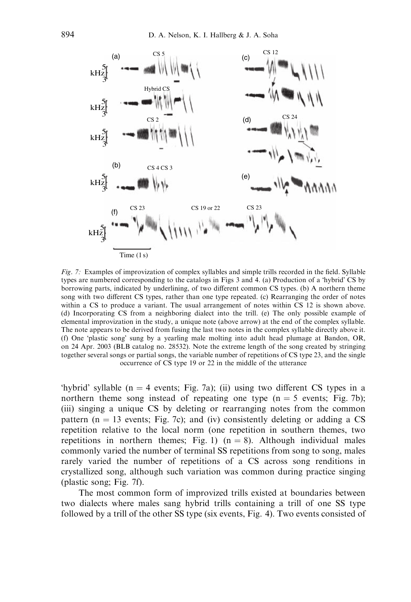

Fig. 7: Examples of improvization of complex syllables and simple trills recorded in the field. Syllable types are numbered corresponding to the catalogs in Figs 3 and 4. (a) Production of a 'hybrid' CS by borrowing parts, indicated by underlining, of two different common CS types. (b) A northern theme song with two different CS types, rather than one type repeated. (c) Rearranging the order of notes within a CS to produce a variant. The usual arrangement of notes within CS 12 is shown above. (d) Incorporating CS from a neighboring dialect into the trill. (e) The only possible example of elemental improvization in the study, a unique note (above arrow) at the end of the complex syllable. The note appears to be derived from fusing the last two notes in the complex syllable directly above it. (f) One -plastic song sung by a yearling male molting into adult head plumage at Bandon, OR, on 24 Apr. 2003 (BLB catalog no. 28532). Note the extreme length of the song created by stringing together several songs or partial songs, the variable number of repetitions of CS type 23, and the single occurrence of CS type 19 or 22 in the middle of the utterance

'hybrid' syllable ( $n = 4$  events; Fig. 7a); (ii) using two different CS types in a northern theme song instead of repeating one type ( $n = 5$  events; Fig. 7b); (iii) singing a unique CS by deleting or rearranging notes from the common pattern ( $n = 13$  events; Fig. 7c); and (iv) consistently deleting or adding a CS repetition relative to the local norm (one repetition in southern themes, two repetitions in northern themes; Fig. 1) ( $n = 8$ ). Although individual males commonly varied the number of terminal SS repetitions from song to song, males rarely varied the number of repetitions of a CS across song renditions in crystallized song, although such variation was common during practice singing (plastic song; Fig. 7f).

The most common form of improvized trills existed at boundaries between two dialects where males sang hybrid trills containing a trill of one SS type followed by a trill of the other SS type (six events, Fig. 4). Two events consisted of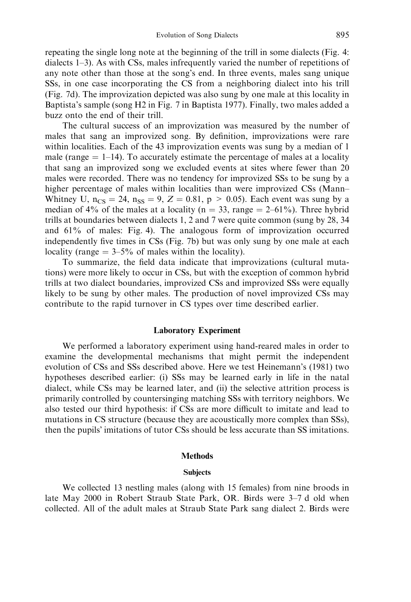repeating the single long note at the beginning of the trill in some dialects (Fig. 4: dialects 1–3). As with CSs, males infrequently varied the number of repetitions of any note other than those at the song's end. In three events, males sang unique SSs, in one case incorporating the CS from a neighboring dialect into his trill (Fig. 7d). The improvization depicted was also sung by one male at this locality in Baptista's sample (song H2 in Fig. 7 in Baptista 1977). Finally, two males added a buzz onto the end of their trill.

The cultural success of an improvization was measured by the number of males that sang an improvized song. By definition, improvizations were rare within localities. Each of the 43 improvization events was sung by a median of 1 male (range  $= 1-14$ ). To accurately estimate the percentage of males at a locality that sang an improvized song we excluded events at sites where fewer than 20 males were recorded. There was no tendency for improvized SSs to be sung by a higher percentage of males within localities than were improvized CSs (Mann– Whitney U,  $n_{CS} = 24$ ,  $n_{SS} = 9$ ,  $Z = 0.81$ ,  $p > 0.05$ ). Each event was sung by a median of 4% of the males at a locality (n = 33, range =  $2-61\%$ ). Three hybrid trills at boundaries between dialects 1, 2 and 7 were quite common (sung by 28, 34 and 61% of males: Fig. 4). The analogous form of improvization occurred independently five times in CSs (Fig. 7b) but was only sung by one male at each locality (range  $= 3-5\%$  of males within the locality).

To summarize, the field data indicate that improvizations (cultural mutations) were more likely to occur in CSs, but with the exception of common hybrid trills at two dialect boundaries, improvized CSs and improvized SSs were equally likely to be sung by other males. The production of novel improvized CSs may contribute to the rapid turnover in CS types over time described earlier.

### Laboratory Experiment

We performed a laboratory experiment using hand-reared males in order to examine the developmental mechanisms that might permit the independent evolution of CSs and SSs described above. Here we test Heinemann's (1981) two hypotheses described earlier: (i) SSs may be learned early in life in the natal dialect, while CSs may be learned later, and (ii) the selective attrition process is primarily controlled by countersinging matching SSs with territory neighbors. We also tested our third hypothesis: if CSs are more difficult to imitate and lead to mutations in CS structure (because they are acoustically more complex than SSs), then the pupils imitations of tutor CSs should be less accurate than SS imitations.

# **Methods**

### **Subjects**

We collected 13 nestling males (along with 15 females) from nine broods in late May 2000 in Robert Straub State Park, OR. Birds were 3–7 d old when collected. All of the adult males at Straub State Park sang dialect 2. Birds were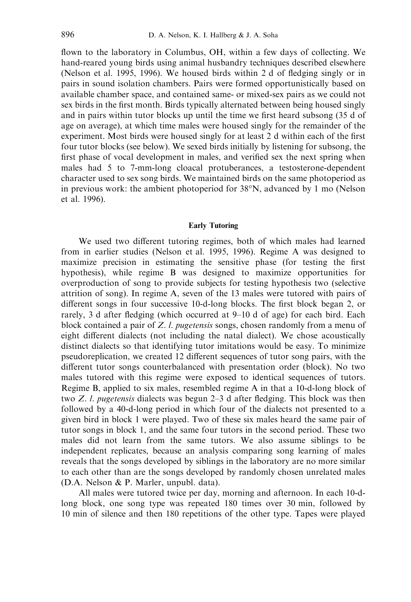flown to the laboratory in Columbus, OH, within a few days of collecting. We hand-reared young birds using animal husbandry techniques described elsewhere (Nelson et al. 1995, 1996). We housed birds within 2 d of fledging singly or in pairs in sound isolation chambers. Pairs were formed opportunistically based on available chamber space, and contained same- or mixed-sex pairs as we could not sex birds in the first month. Birds typically alternated between being housed singly and in pairs within tutor blocks up until the time we first heard subsong (35 d of age on average), at which time males were housed singly for the remainder of the experiment. Most birds were housed singly for at least 2 d within each of the first four tutor blocks (see below). We sexed birds initially by listening for subsong, the first phase of vocal development in males, and verified sex the next spring when males had 5 to 7-mm-long cloacal protuberances, a testosterone-dependent character used to sex song birds. We maintained birds on the same photoperiod as in previous work: the ambient photoperiod for 38°N, advanced by 1 mo (Nelson et al. 1996).

### Early Tutoring

We used two different tutoring regimes, both of which males had learned from in earlier studies (Nelson et al. 1995, 1996). Regime A was designed to maximize precision in estimating the sensitive phase (for testing the first hypothesis), while regime B was designed to maximize opportunities for overproduction of song to provide subjects for testing hypothesis two (selective attrition of song). In regime A, seven of the 13 males were tutored with pairs of different songs in four successive 10-d-long blocks. The first block began 2, or rarely, 3 d after fledging (which occurred at 9–10 d of age) for each bird. Each block contained a pair of  $Z$ . *l. pugetensis* songs, chosen randomly from a menu of eight different dialects (not including the natal dialect). We chose acoustically distinct dialects so that identifying tutor imitations would be easy. To minimize pseudoreplication, we created 12 different sequences of tutor song pairs, with the different tutor songs counterbalanced with presentation order (block). No two males tutored with this regime were exposed to identical sequences of tutors. Regime B, applied to six males, resembled regime A in that a 10-d-long block of two Z. l. pugetensis dialects was begun 2–3 d after fledging. This block was then followed by a 40-d-long period in which four of the dialects not presented to a given bird in block 1 were played. Two of these six males heard the same pair of tutor songs in block 1, and the same four tutors in the second period. These two males did not learn from the same tutors. We also assume siblings to be independent replicates, because an analysis comparing song learning of males reveals that the songs developed by siblings in the laboratory are no more similar to each other than are the songs developed by randomly chosen unrelated males (D.A. Nelson & P. Marler, unpubl. data).

All males were tutored twice per day, morning and afternoon. In each 10-dlong block, one song type was repeated 180 times over 30 min, followed by 10 min of silence and then 180 repetitions of the other type. Tapes were played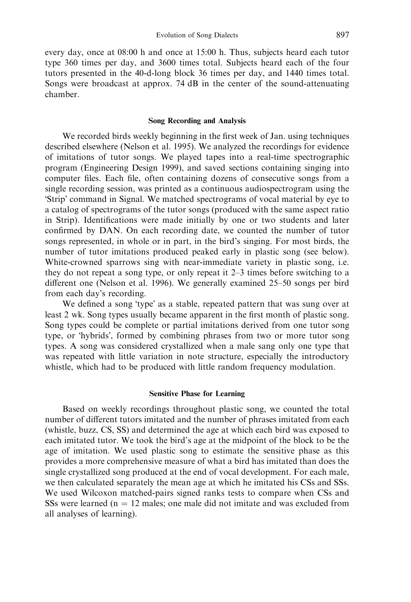every day, once at 08:00 h and once at 15:00 h. Thus, subjects heard each tutor type 360 times per day, and 3600 times total. Subjects heard each of the four tutors presented in the 40-d-long block 36 times per day, and 1440 times total. Songs were broadcast at approx. 74 dB in the center of the sound-attenuating chamber.

### Song Recording and Analysis

We recorded birds weekly beginning in the first week of Jan. using techniques described elsewhere (Nelson et al. 1995). We analyzed the recordings for evidence of imitations of tutor songs. We played tapes into a real-time spectrographic program (Engineering Design 1999), and saved sections containing singing into computer files. Each file, often containing dozens of consecutive songs from a single recording session, was printed as a continuous audiospectrogram using the -Strip command in Signal. We matched spectrograms of vocal material by eye to a catalog of spectrograms of the tutor songs (produced with the same aspect ratio in Strip). Identifications were made initially by one or two students and later confirmed by DAN. On each recording date, we counted the number of tutor songs represented, in whole or in part, in the bird's singing. For most birds, the number of tutor imitations produced peaked early in plastic song (see below). White-crowned sparrows sing with near-immediate variety in plastic song, i.e. they do not repeat a song type, or only repeat it 2–3 times before switching to a different one (Nelson et al. 1996). We generally examined 25–50 songs per bird from each day's recording.

We defined a song 'type' as a stable, repeated pattern that was sung over at least 2 wk. Song types usually became apparent in the first month of plastic song. Song types could be complete or partial imitations derived from one tutor song type, or 'hybrids', formed by combining phrases from two or more tutor song types. A song was considered crystallized when a male sang only one type that was repeated with little variation in note structure, especially the introductory whistle, which had to be produced with little random frequency modulation.

### Sensitive Phase for Learning

Based on weekly recordings throughout plastic song, we counted the total number of different tutors imitated and the number of phrases imitated from each (whistle, buzz, CS, SS) and determined the age at which each bird was exposed to each imitated tutor. We took the bird's age at the midpoint of the block to be the age of imitation. We used plastic song to estimate the sensitive phase as this provides a more comprehensive measure of what a bird has imitated than does the single crystallized song produced at the end of vocal development. For each male, we then calculated separately the mean age at which he imitated his CSs and SSs. We used Wilcoxon matched-pairs signed ranks tests to compare when CSs and SSs were learned ( $n = 12$  males; one male did not imitate and was excluded from all analyses of learning).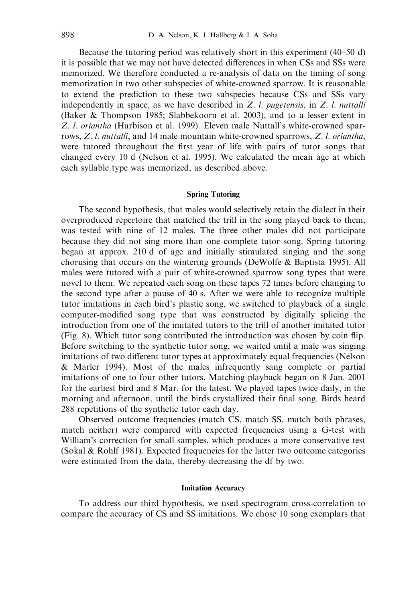Because the tutoring period was relatively short in this experiment (40–50 d) it is possible that we may not have detected differences in when CSs and SSs were memorized. We therefore conducted a re-analysis of data on the timing of song memorization in two other subspecies of white-crowned sparrow. It is reasonable to extend the prediction to these two subspecies because CSs and SSs vary independently in space, as we have described in  $Z$ .  $l$ . pugetensis, in  $Z$ .  $l$ . nuttalli (Baker & Thompson 1985; Slabbekoorn et al. 2003), and to a lesser extent in Z. l. oriantha (Harbison et al. 1999). Eleven male Nuttall's white-crowned sparrows, Z. l. nuttalli, and 14 male mountain white-crowned sparrows, Z. l. oriantha, were tutored throughout the first year of life with pairs of tutor songs that changed every 10 d (Nelson et al. 1995). We calculated the mean age at which each syllable type was memorized, as described above.

## Spring Tutoring

The second hypothesis, that males would selectively retain the dialect in their overproduced repertoire that matched the trill in the song played back to them, was tested with nine of 12 males. The three other males did not participate because they did not sing more than one complete tutor song. Spring tutoring began at approx. 210 d of age and initially stimulated singing and the song chorusing that occurs on the wintering grounds (DeWolfe & Baptista 1995). All males were tutored with a pair of white-crowned sparrow song types that were novel to them. We repeated each song on these tapes 72 times before changing to the second type after a pause of 40 s. After we were able to recognize multiple tutor imitations in each bird's plastic song, we switched to playback of a single computer-modified song type that was constructed by digitally splicing the introduction from one of the imitated tutors to the trill of another imitated tutor (Fig. 8). Which tutor song contributed the introduction was chosen by coin flip. Before switching to the synthetic tutor song, we waited until a male was singing imitations of two different tutor types at approximately equal frequencies (Nelson & Marler 1994). Most of the males infrequently sang complete or partial imitations of one to four other tutors. Matching playback began on 8 Jan. 2001 for the earliest bird and 8 Mar. for the latest. We played tapes twice daily, in the morning and afternoon, until the birds crystallized their final song. Birds heard 288 repetitions of the synthetic tutor each day.

Observed outcome frequencies (match CS, match SS, match both phrases, match neither) were compared with expected frequencies using a G-test with William's correction for small samples, which produces a more conservative test (Sokal & Rohlf 1981). Expected frequencies for the latter two outcome categories were estimated from the data, thereby decreasing the df by two.

## Imitation Accuracy

To address our third hypothesis, we used spectrogram cross-correlation to compare the accuracy of CS and SS imitations. We chose 10 song exemplars that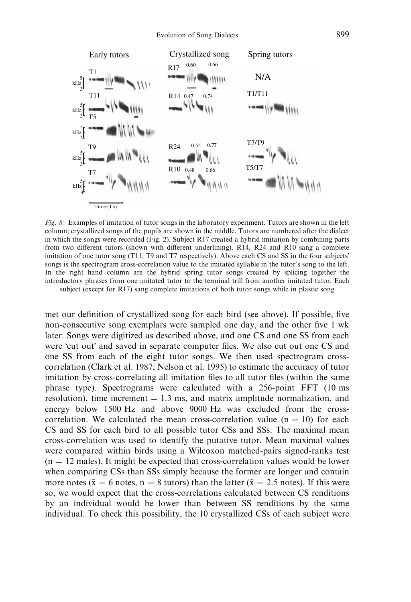

Fig. 8: Examples of imitation of tutor songs in the laboratory experiment. Tutors are shown in the left column; crystallized songs of the pupils are shown in the middle. Tutors are numbered after the dialect in which the songs were recorded (Fig. 2). Subject R17 created a hybrid imitation by combining parts from two different tutors (shown with different underlining). R14, R24 and R10 sang a complete imitation of one tutor song (T11, T9 and T7 respectively). Above each CS and SS in the four subjects' songs is the spectrogram cross-correlation value to the imitated syllable in the tutor's song to the left. In the right hand column are the hybrid spring tutor songs created by splicing together the introductory phrases from one imitated tutor to the terminal trill from another imitated tutor. Each subject (except for R17) sang complete imitations of both tutor songs while in plastic song

met our definition of crystallized song for each bird (see above). If possible, five non-consecutive song exemplars were sampled one day, and the other five 1 wk later. Songs were digitized as described above, and one CS and one SS from each were 'cut out' and saved in separate computer files. We also cut out one CS and one SS from each of the eight tutor songs. We then used spectrogram crosscorrelation (Clark et al. 1987; Nelson et al. 1995) to estimate the accuracy of tutor imitation by cross-correlating all imitation files to all tutor files (within the same phrase type). Spectrograms were calculated with a 256-point FFT (10 ms resolution), time increment  $= 1.3$  ms, and matrix amplitude normalization, and energy below 1500 Hz and above 9000 Hz was excluded from the crosscorrelation. We calculated the mean cross-correlation value ( $n = 10$ ) for each CS and SS for each bird to all possible tutor CSs and SSs. The maximal mean cross-correlation was used to identify the putative tutor. Mean maximal values were compared within birds using a Wilcoxon matched-pairs signed-ranks test  $(n = 12 \text{ males})$ . It might be expected that cross-correlation values would be lower when comparing CSs than SSs simply because the former are longer and contain more notes ( $\tilde{x} = 6$  notes, n = 8 tutors) than the latter ( $\tilde{x} = 2.5$  notes). If this were so, we would expect that the cross-correlations calculated between CS renditions by an individual would be lower than between SS renditions by the same individual. To check this possibility, the 10 crystallized CSs of each subject were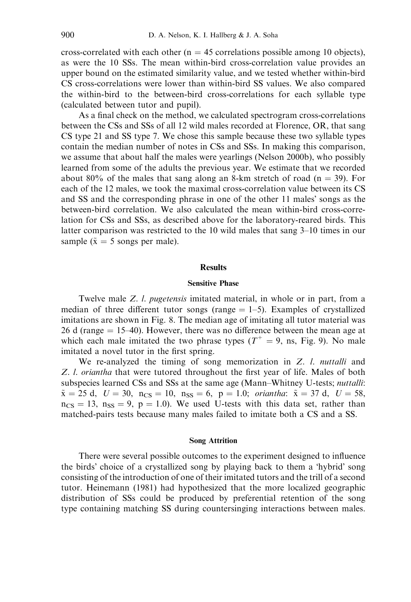cross-correlated with each other ( $n = 45$  correlations possible among 10 objects), as were the 10 SSs. The mean within-bird cross-correlation value provides an upper bound on the estimated similarity value, and we tested whether within-bird CS cross-correlations were lower than within-bird SS values. We also compared the within-bird to the between-bird cross-correlations for each syllable type (calculated between tutor and pupil).

As a final check on the method, we calculated spectrogram cross-correlations between the CSs and SSs of all 12 wild males recorded at Florence, OR, that sang CS type 21 and SS type 7. We chose this sample because these two syllable types contain the median number of notes in CSs and SSs. In making this comparison, we assume that about half the males were yearlings (Nelson 2000b), who possibly learned from some of the adults the previous year. We estimate that we recorded about 80% of the males that sang along an 8-km stretch of road ( $n = 39$ ). For each of the 12 males, we took the maximal cross-correlation value between its CS and SS and the corresponding phrase in one of the other 11 males' songs as the between-bird correlation. We also calculated the mean within-bird cross-correlation for CSs and SSs, as described above for the laboratory-reared birds. This latter comparison was restricted to the 10 wild males that sang 3–10 times in our sample ( $\tilde{x} = 5$  songs per male).

## Results

#### Sensitive Phase

Twelve male Z. l. pugetensis imitated material, in whole or in part, from a median of three different tutor songs (range  $= 1-5$ ). Examples of crystallized imitations are shown in Fig. 8. The median age of imitating all tutor material was 26 d (range  $= 15-40$ ). However, there was no difference between the mean age at which each male imitated the two phrase types ( $T^+ = 9$ , ns, Fig. 9). No male imitated a novel tutor in the first spring.

We re-analyzed the timing of song memorization in Z. l. *nuttalli* and Z. *l. oriantha* that were tutored throughout the first year of life. Males of both subspecies learned CSs and SSs at the same age (Mann–Whitney U-tests; nuttalli:  $\tilde{x} = 25$  d,  $U = 30$ ,  $n_{CS} = 10$ ,  $n_{SS} = 6$ ,  $p = 1.0$ ; oriantha:  $\tilde{x} = 37$  d,  $U = 58$ ,  $n_{CS} = 13$ ,  $n_{SS} = 9$ ,  $p = 1.0$ ). We used U-tests with this data set, rather than matched-pairs tests because many males failed to imitate both a CS and a SS.

#### Song Attrition

There were several possible outcomes to the experiment designed to influence the birds' choice of a crystallized song by playing back to them a 'hybrid' song consisting of the introduction of one of their imitated tutors and the trill of a second tutor. Heinemann (1981) had hypothesized that the more localized geographic distribution of SSs could be produced by preferential retention of the song type containing matching SS during countersinging interactions between males.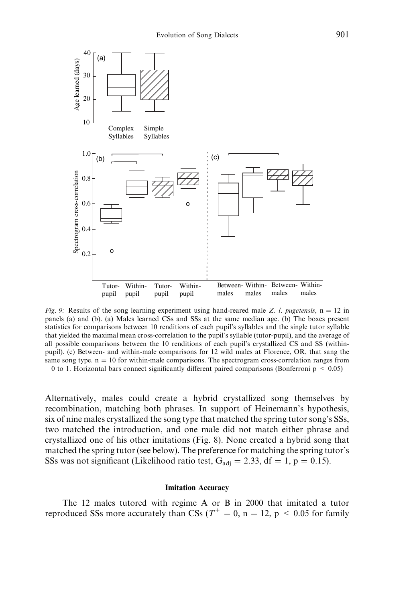

Fig. 9: Results of the song learning experiment using hand-reared male Z. l. pugetensis,  $n = 12$  in panels (a) and (b). (a) Males learned CSs and SSs at the same median age. (b) The boxes present statistics for comparisons between 10 renditions of each pupil's syllables and the single tutor syllable that yielded the maximal mean cross-correlation to the pupil's syllable (tutor-pupil), and the average of all possible comparisons between the 10 renditions of each pupil's crystallized CS and SS (withinpupil). (c) Between- and within-male comparisons for 12 wild males at Florence, OR, that sang the same song type.  $n = 10$  for within-male comparisons. The spectrogram cross-correlation ranges from 0 to 1. Horizontal bars connect significantly different paired comparisons (Bonferroni  $p \le 0.05$ )

Alternatively, males could create a hybrid crystallized song themselves by recombination, matching both phrases. In support of Heinemann's hypothesis, six of nine males crystallized the song type that matched the spring tutor song's SSs, two matched the introduction, and one male did not match either phrase and crystallized one of his other imitations (Fig. 8). None created a hybrid song that matched the spring tutor (see below). The preference for matching the spring tutor's SSs was not significant (Likelihood ratio test,  $G_{\text{adi}} = 2.33$ , df = 1, p = 0.15).

#### Imitation Accuracy

The 12 males tutored with regime A or B in 2000 that imitated a tutor reproduced SSs more accurately than CSs ( $T^+ = 0$ , n = 12, p < 0.05 for family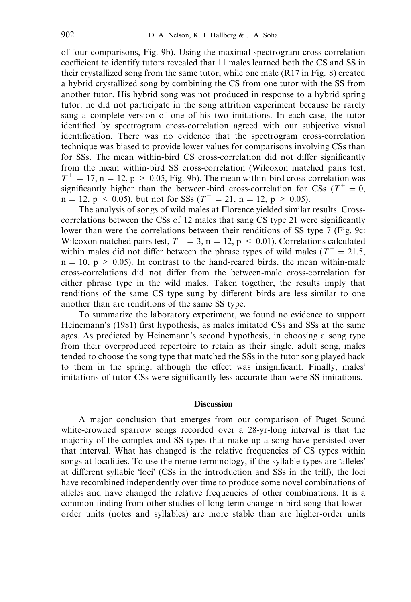of four comparisons, Fig. 9b). Using the maximal spectrogram cross-correlation coefficient to identify tutors revealed that 11 males learned both the CS and SS in their crystallized song from the same tutor, while one male (R17 in Fig. 8) created a hybrid crystallized song by combining the CS from one tutor with the SS from another tutor. His hybrid song was not produced in response to a hybrid spring tutor: he did not participate in the song attrition experiment because he rarely sang a complete version of one of his two imitations. In each case, the tutor identified by spectrogram cross-correlation agreed with our subjective visual identification. There was no evidence that the spectrogram cross-correlation technique was biased to provide lower values for comparisons involving CSs than for SSs. The mean within-bird CS cross-correlation did not differ significantly from the mean within-bird SS cross-correlation (Wilcoxon matched pairs test,  $T^+ = 17$ , n = 12, p > 0.05, Fig. 9b). The mean within-bird cross-correlation was significantly higher than the between-bird cross-correlation for CSs ( $T^+ = 0$ ,  $n = 12$ ,  $p \le 0.05$ , but not for SSs ( $T^+ = 21$ ,  $n = 12$ ,  $p > 0.05$ ).

The analysis of songs of wild males at Florence yielded similar results. Crosscorrelations between the CSs of 12 males that sang CS type 21 were significantly lower than were the correlations between their renditions of SS type 7 (Fig. 9c: Wilcoxon matched pairs test,  $T^+ = 3$ , n = 12, p < 0.01). Correlations calculated within males did not differ between the phrase types of wild males ( $T^+ = 21.5$ ,  $n = 10$ ,  $p > 0.05$ ). In contrast to the hand-reared birds, the mean within-male cross-correlations did not differ from the between-male cross-correlation for either phrase type in the wild males. Taken together, the results imply that renditions of the same CS type sung by different birds are less similar to one another than are renditions of the same SS type.

To summarize the laboratory experiment, we found no evidence to support Heinemann's (1981) first hypothesis, as males imitated CSs and SSs at the same ages. As predicted by Heinemann's second hypothesis, in choosing a song type from their overproduced repertoire to retain as their single, adult song, males tended to choose the song type that matched the SSs in the tutor song played back to them in the spring, although the effect was insignificant. Finally, males imitations of tutor CSs were significantly less accurate than were SS imitations.

# **Discussion**

A major conclusion that emerges from our comparison of Puget Sound white-crowned sparrow songs recorded over a 28-yr-long interval is that the majority of the complex and SS types that make up a song have persisted over that interval. What has changed is the relative frequencies of CS types within songs at localities. To use the meme terminology, if the syllable types are 'alleles' at different syllabic 'loci' (CSs in the introduction and SSs in the trill), the loci have recombined independently over time to produce some novel combinations of alleles and have changed the relative frequencies of other combinations. It is a common finding from other studies of long-term change in bird song that lowerorder units (notes and syllables) are more stable than are higher-order units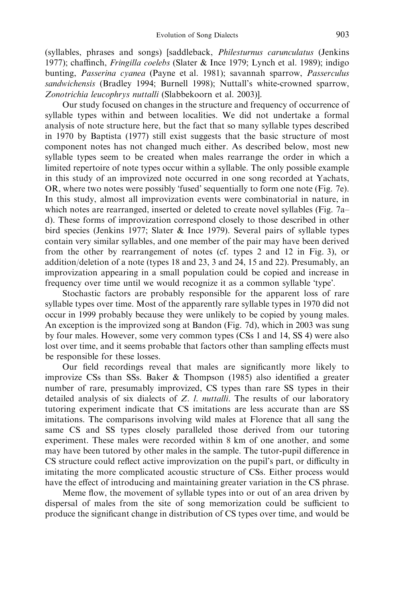(syllables, phrases and songs) [saddleback, Philesturnus carunculatus (Jenkins 1977); chaffinch, Fringilla coelebs (Slater & Ince 1979; Lynch et al. 1989); indigo bunting, Passerina cyanea (Payne et al. 1981); savannah sparrow, Passerculus sandwichensis (Bradley 1994; Burnell 1998); Nuttall's white-crowned sparrow, Zonotrichia leucophrys nuttalli (Slabbekoorn et al. 2003)].

Our study focused on changes in the structure and frequency of occurrence of syllable types within and between localities. We did not undertake a formal analysis of note structure here, but the fact that so many syllable types described in 1970 by Baptista (1977) still exist suggests that the basic structure of most component notes has not changed much either. As described below, most new syllable types seem to be created when males rearrange the order in which a limited repertoire of note types occur within a syllable. The only possible example in this study of an improvized note occurred in one song recorded at Yachats, OR, where two notes were possibly 'fused' sequentially to form one note (Fig. 7e). In this study, almost all improvization events were combinatorial in nature, in which notes are rearranged, inserted or deleted to create novel syllables (Fig. 7a– d). These forms of improvization correspond closely to those described in other bird species (Jenkins 1977; Slater & Ince 1979). Several pairs of syllable types contain very similar syllables, and one member of the pair may have been derived from the other by rearrangement of notes (cf. types 2 and 12 in Fig. 3), or addition/deletion of a note (types 18 and 23, 3 and 24, 15 and 22). Presumably, an improvization appearing in a small population could be copied and increase in frequency over time until we would recognize it as a common syllable 'type'.

Stochastic factors are probably responsible for the apparent loss of rare syllable types over time. Most of the apparently rare syllable types in 1970 did not occur in 1999 probably because they were unlikely to be copied by young males. An exception is the improvized song at Bandon (Fig. 7d), which in 2003 was sung by four males. However, some very common types (CSs 1 and 14, SS 4) were also lost over time, and it seems probable that factors other than sampling effects must be responsible for these losses.

Our field recordings reveal that males are significantly more likely to improvize CSs than SSs. Baker & Thompson (1985) also identified a greater number of rare, presumably improvized, CS types than rare SS types in their detailed analysis of six dialects of  $Z$ . *l. nuttalli*. The results of our laboratory tutoring experiment indicate that CS imitations are less accurate than are SS imitations. The comparisons involving wild males at Florence that all sang the same CS and SS types closely paralleled those derived from our tutoring experiment. These males were recorded within 8 km of one another, and some may have been tutored by other males in the sample. The tutor-pupil difference in CS structure could reflect active improvization on the pupil's part, or difficulty in imitating the more complicated acoustic structure of CSs. Either process would have the effect of introducing and maintaining greater variation in the CS phrase.

Meme flow, the movement of syllable types into or out of an area driven by dispersal of males from the site of song memorization could be sufficient to produce the significant change in distribution of CS types over time, and would be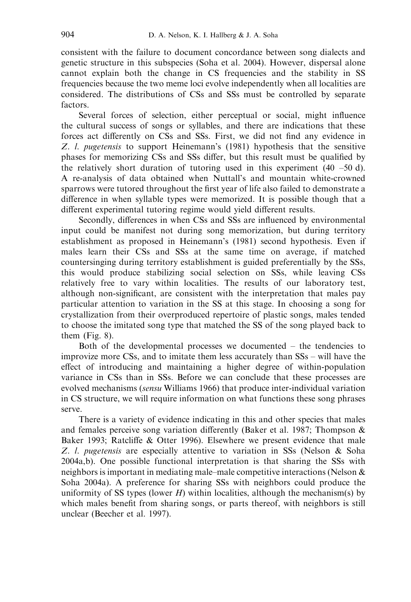consistent with the failure to document concordance between song dialects and genetic structure in this subspecies (Soha et al. 2004). However, dispersal alone cannot explain both the change in CS frequencies and the stability in SS frequencies because the two meme loci evolve independently when all localities are considered. The distributions of CSs and SSs must be controlled by separate factors.

Several forces of selection, either perceptual or social, might influence the cultural success of songs or syllables, and there are indications that these forces act differently on CSs and SSs. First, we did not find any evidence in Z. l. pugetensis to support Heinemann's (1981) hypothesis that the sensitive phases for memorizing CSs and SSs differ, but this result must be qualified by the relatively short duration of tutoring used in this experiment  $(40 - 50 d)$ . A re-analysis of data obtained when Nuttall's and mountain white-crowned sparrows were tutored throughout the first year of life also failed to demonstrate a difference in when syllable types were memorized. It is possible though that a different experimental tutoring regime would yield different results.

Secondly, differences in when CSs and SSs are influenced by environmental input could be manifest not during song memorization, but during territory establishment as proposed in Heinemann's (1981) second hypothesis. Even if males learn their CSs and SSs at the same time on average, if matched countersinging during territory establishment is guided preferentially by the SSs, this would produce stabilizing social selection on SSs, while leaving CSs relatively free to vary within localities. The results of our laboratory test, although non-significant, are consistent with the interpretation that males pay particular attention to variation in the SS at this stage. In choosing a song for crystallization from their overproduced repertoire of plastic songs, males tended to choose the imitated song type that matched the SS of the song played back to them (Fig. 8).

Both of the developmental processes we documented  $-$  the tendencies to improvize more CSs, and to imitate them less accurately than SSs – will have the effect of introducing and maintaining a higher degree of within-population variance in CSs than in SSs. Before we can conclude that these processes are evolved mechanisms (sensu Williams 1966) that produce inter-individual variation in CS structure, we will require information on what functions these song phrases serve.

There is a variety of evidence indicating in this and other species that males and females perceive song variation differently (Baker et al. 1987; Thompson & Baker 1993; Ratcliffe & Otter 1996). Elsewhere we present evidence that male Z. l. pugetensis are especially attentive to variation in SSs (Nelson & Soha 2004a,b). One possible functional interpretation is that sharing the SSs with neighbors is important in mediating male–male competitive interactions (Nelson & Soha 2004a). A preference for sharing SSs with neighbors could produce the uniformity of SS types (lower  $H$ ) within localities, although the mechanism(s) by which males benefit from sharing songs, or parts thereof, with neighbors is still unclear (Beecher et al. 1997).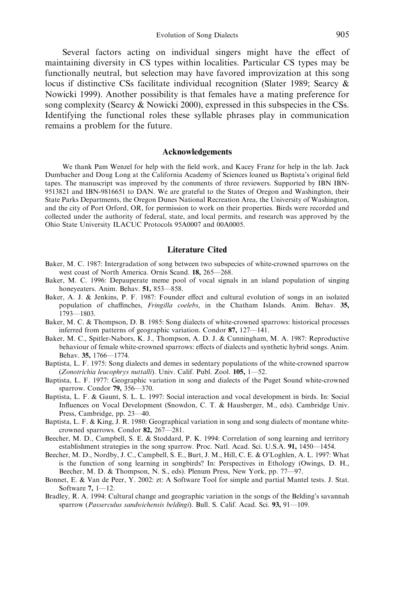Several factors acting on individual singers might have the effect of maintaining diversity in CS types within localities. Particular CS types may be functionally neutral, but selection may have favored improvization at this song locus if distinctive CSs facilitate individual recognition (Slater 1989; Searcy & Nowicki 1999). Another possibility is that females have a mating preference for song complexity (Searcy  $\&$  Nowicki 2000), expressed in this subspecies in the CSs. Identifying the functional roles these syllable phrases play in communication remains a problem for the future.

#### Acknowledgements

We thank Pam Wenzel for help with the field work, and Kacey Franz for help in the lab. Jack Dumbacher and Doug Long at the California Academy of Sciences loaned us Baptista's original field tapes. The manuscript was improved by the comments of three reviewers. Supported by IBN IBN-9513821 and IBN-9816651 to DAN. We are grateful to the States of Oregon and Washington, their State Parks Departments, the Oregon Dunes National Recreation Area, the University of Washington, and the city of Port Orford, OR, for permission to work on their properties. Birds were recorded and collected under the authority of federal, state, and local permits, and research was approved by the Ohio State University ILACUC Protocols 95A0007 and 00A0005.

## Literature Cited

- Baker, M. C. 1987: Intergradation of song between two subspecies of white-crowned sparrows on the west coast of North America. Ornis Scand. 18, 265—268.
- Baker, M. C. 1996: Depauperate meme pool of vocal signals in an island population of singing honeyeaters. Anim. Behav. 51, 853—858.
- Baker, A. J. & Jenkins, P. F. 1987: Founder effect and cultural evolution of songs in an isolated population of chaffinches, Fringilla coelebs, in the Chatham Islands. Anim. Behav. 35,  $1793 - 1803$
- Baker, M. C. & Thompson, D. B. 1985: Song dialects of white-crowned sparrows: historical processes inferred from patterns of geographic variation. Condor 87, 127—141.
- Baker, M. C., Spitler-Nabors, K. J., Thompson, A. D. J. & Cunningham, M. A. 1987: Reproductive behaviour of female white-crowned sparrows: effects of dialects and synthetic hybrid songs. Anim. Behav. 35, 1766—1774.
- Baptista, L. F. 1975: Song dialects and demes in sedentary populations of the white-crowned sparrow (Zonotrichia leucophrys nuttalli). Univ. Calif. Publ. Zool. 105, 1—52.
- Baptista, L. F. 1977: Geographic variation in song and dialects of the Puget Sound white-crowned sparrow. Condor 79, 356—370.
- Baptista, L. F. & Gaunt, S. L. L. 1997: Social interaction and vocal development in birds. In: Social Influences on Vocal Development (Snowdon, C. T. & Hausberger, M., eds). Cambridge Univ. Press, Cambridge, pp. 23—40.
- Baptista, L. F. & King, J. R. 1980: Geographical variation in song and song dialects of montane whitecrowned sparrows. Condor 82, 267—281.
- Beecher, M. D., Campbell, S. E. & Stoddard, P. K. 1994: Correlation of song learning and territory establishment strategies in the song sparrow. Proc. Natl. Acad. Sci. U.S.A. 91, 1450—1454.
- Beecher, M. D., Nordby, J. C., Campbell, S. E., Burt, J. M., Hill, C. E. & O'Loghlen, A. L. 1997: What is the function of song learning in songbirds? In: Perspectives in Ethology (Owings, D. H., Beecher, M. D. & Thompson, N. S., eds). Plenum Press, New York, pp. 77—97.
- Bonnet, E. & Van de Peer, Y. 2002: zt: A Software Tool for simple and partial Mantel tests. J. Stat. Software 7, 1—12.
- Bradley, R. A. 1994: Cultural change and geographic variation in the songs of the Belding's savannah sparrow (Passerculus sandwichensis beldingi). Bull. S. Calif. Acad. Sci. 93, 91-109.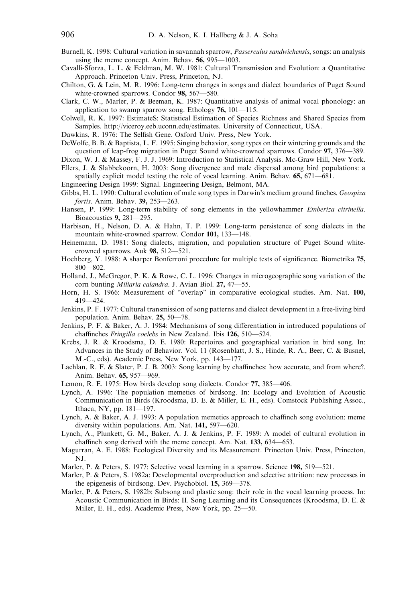- Burnell, K. 1998: Cultural variation in savannah sparrow, *Passerculus sandwichensis*, songs: an analysis using the meme concept. Anim. Behav. 56, 995—1003.
- Cavalli-Sforza, L. L. & Feldman, M. W. 1981: Cultural Transmission and Evolution: a Quantitative Approach. Princeton Univ. Press, Princeton, NJ.
- Chilton, G. & Lein, M. R. 1996: Long-term changes in songs and dialect boundaries of Puget Sound white-crowned sparrows. Condor 98, 567—580.
- Clark, C. W., Marler, P. & Beeman, K. 1987: Quantitative analysis of animal vocal phonology: an application to swamp sparrow song. Ethology 76, 101—115.

Colwell, R. K. 1997: EstimateS: Statistical Estimation of Species Richness and Shared Species from Samples. http://viceroy.eeb.uconn.edu/estimates. University of Connecticut, USA.

Dawkins, R. 1976: The Selfish Gene. Oxford Univ. Press, New York.

DeWolfe, B. B. & Baptista, L. F. 1995: Singing behavior, song types on their wintering grounds and the question of leap-frog migration in Puget Sound white-crowned sparrows. Condor 97, 376—389.

Dixon, W. J. & Massey, F. J. J. 1969: Introduction to Statistical Analysis. Mc-Graw Hill, New York. Ellers, J. & Slabbekoorn, H. 2003: Song divergence and male dispersal among bird populations: a

spatially explicit model testing the role of vocal learning. Anim. Behav. 65, 671—681.

Engineering Design 1999: Signal. Engineering Design, Belmont, MA.

- Gibbs, H. L. 1990: Cultural evolution of male song types in Darwin's medium ground finches, Geospiza fortis. Anim. Behav. 39, 253—263.
- Hansen, P. 1999: Long-term stability of song elements in the yellowhammer Emberiza citrinella. Bioacoustics 9, 281—295.
- Harbison, H., Nelson, D. A. & Hahn, T. P. 1999: Long-term persistence of song dialects in the mountain white-crowned sparrow. Condor 101, 133—148.
- Heinemann, D. 1981: Song dialects, migration, and population structure of Puget Sound whitecrowned sparrows. Auk 98, 512—521.
- Hochberg, Y. 1988: A sharper Bonferroni procedure for multiple tests of significance. Biometrika 75, 800—802.
- Holland, J., McGregor, P. K. & Rowe, C. L. 1996: Changes in microgeographic song variation of the corn bunting Miliaria calandra. J. Avian Biol. 27, 47—55.
- Horn, H. S. 1966: Measurement of "overlap" in comparative ecological studies. Am. Nat. 100, 419—424.
- Jenkins, P. F. 1977: Cultural transmission of song patterns and dialect development in a free-living bird population. Anim. Behav. 25, 50—78.
- Jenkins, P. F. & Baker, A. J. 1984: Mechanisms of song differentiation in introduced populations of chaffinches Fringilla coelebs in New Zealand. Ibis 126, 510—524.
- Krebs, J. R. & Kroodsma, D. E. 1980: Repertoires and geographical variation in bird song. In: Advances in the Study of Behavior. Vol. 11 (Rosenblatt, J. S., Hinde, R. A., Beer, C. & Busnel, M.-C., eds). Academic Press, New York, pp. 143—177.
- Lachlan, R. F. & Slater, P. J. B. 2003: Song learning by chaffinches: how accurate, and from where?. Anim. Behav. 65, 957—969.
- Lemon, R. E. 1975: How birds develop song dialects. Condor 77, 385—406.
- Lynch, A. 1996: The population memetics of birdsong. In: Ecology and Evolution of Acoustic Communication in Birds (Kroodsma, D. E. & Miller, E. H., eds). Comstock Publishing Assoc., Ithaca, NY, pp. 181—197.
- Lynch, A. & Baker, A. J. 1993: A population memetics approach to chaffinch song evolution: meme diversity within populations. Am. Nat. 141, 597—620.
- Lynch, A., Plunkett, G. M., Baker, A. J. & Jenkins, P. F. 1989: A model of cultural evolution in chaffinch song derived with the meme concept. Am. Nat. 133, 634—653.
- Magurran, A. E. 1988: Ecological Diversity and its Measurement. Princeton Univ. Press, Princeton, NJ.
- Marler, P. & Peters, S. 1977: Selective vocal learning in a sparrow. Science 198, 519–521.
- Marler, P. & Peters, S. 1982a: Developmental overproduction and selective attrition: new processes in the epigenesis of birdsong. Dev. Psychobiol. 15, 369—378.
- Marler, P. & Peters, S. 1982b: Subsong and plastic song: their role in the vocal learning process. In: Acoustic Communication in Birds: II. Song Learning and its Consequences (Kroodsma, D. E. & Miller, E. H., eds). Academic Press, New York, pp. 25—50.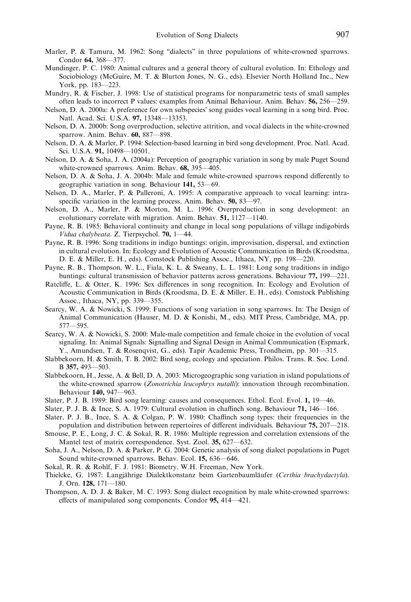- Marler, P. & Tamura, M. 1962: Song "dialects" in three populations of white-crowned sparrows. Condor 64, 368—377.
- Mundinger, P. C. 1980: Animal cultures and a general theory of cultural evolution. In: Ethology and Sociobiology (McGuire, M. T. & Blurton Jones, N. G., eds). Elsevier North Holland Inc., New York, pp. 183—223.
- Mundry, R. & Fischer, J. 1998: Use of statistical programs for nonparametric tests of small samples often leads to incorrect P values: examples from Animal Behaviour. Anim. Behav. 56, 256—259.
- Nelson, D. A. 2000a: A preference for own subspecies' song guides vocal learning in a song bird. Proc. Natl. Acad. Sci. U.S.A. 97, 13348—13353.
- Nelson, D. A. 2000b: Song overproduction, selective attrition, and vocal dialects in the white-crowned sparrow. Anim. Behav. 60, 887—898.
- Nelson, D. A. & Marler, P. 1994: Selection-based learning in bird song development. Proc. Natl. Acad. Sci. U.S.A. 91, 10498—10501.
- Nelson, D. A. & Soha, J. A. (2004a): Perception of geographic variation in song by male Puget Sound white-crowned sparrows. Anim. Behav. 68, 395—405.
- Nelson, D. A. & Soha, J. A. 2004b: Male and female white-crowned sparrows respond differently to geographic variation in song. Behaviour 141, 53—69.
- Nelson, D. A., Marler, P. & Palleroni, A. 1995: A comparative approach to vocal learning: intraspecific variation in the learning process. Anim. Behav. **50**, 83—97.
- Nelson, D. A., Marler, P. & Morton, M. L. 1996: Overproduction in song development: an evolutionary correlate with migration. Anim. Behav. 51, 1127—1140.
- Payne, R. B. 1985: Behavioral continuity and change in local song populations of village indigobirds Vidua chalybeata. Z. Tierpsychol. 70, 1—44.
- Payne, R. B. 1996: Song traditions in indigo buntings: origin, improvisation, dispersal, and extinction in cultural evolution. In: Ecology and Evolution of Acoustic Communication in Birds (Kroodsma, D. E. & Miller, E. H., eds). Comstock Publishing Assoc., Ithaca, NY, pp. 198—220.
- Payne, R. B., Thompson, W. L., Fiala, K. L. & Sweany, L. L. 1981: Long song traditions in indigo buntings: cultural transmission of behavior patterns across generations. Behaviour 77, 199—221.
- Ratcliffe, L. & Otter, K. 1996: Sex differences in song recognition. In: Ecology and Evolution of Acoustic Communication in Birds (Kroodsma, D. E. & Miller, E. H., eds). Comstock Publishing Assoc., Ithaca, NY, pp. 339—355.
- Searcy, W. A. & Nowicki, S. 1999: Functions of song variation in song sparrows. In: The Design of Animal Communication (Hauser, M. D. & Konishi, M., eds). MIT Press, Cambridge, MA, pp. 577—595.
- Searcy, W. A. & Nowicki, S. 2000: Male-male competition and female choice in the evolution of vocal signaling. In: Animal Signals: Signalling and Signal Design in Animal Communication (Espmark, Y., Amundsen, T. & Rosenqvist, G., eds). Tapir Academic Press, Trondheim, pp. 301—315.
- Slabbekoorn, H. & Smith, T. B. 2002: Bird song, ecology and speciation. Philos. Trans. R. Soc. Lond. B 357, 493—503.
- Slabbekoorn, H., Jesse, A. & Bell, D. A. 2003: Microgeographic song variation in island populations of the white-crowned sparrow (Zonotrichia leucophrys nutalli): innovation through recombination. Behaviour 140, 947—963.
- Slater, P. J. B. 1989: Bird song learning: causes and consequences. Ethol. Ecol. Evol. 1, 19—46.
- Slater, P. J. B. & Ince, S. A. 1979: Cultural evolution in chaffinch song. Behaviour 71, 146—166.
- Slater, P. J. B., Ince, S. A. & Colgan, P. W. 1980: Chaffinch song types: their frequencies in the population and distribution between repertoires of different individuals. Behaviour 75, 207—218.
- Smouse, P. E., Long, J. C. & Sokal, R. R. 1986: Multiple regression and correlation extensions of the Mantel test of matrix correspondence. Syst. Zool. 35, 627—632.
- Soha, J. A., Nelson, D. A. & Parker, P. G. 2004: Genetic analysis of song dialect populations in Puget Sound white-crowned sparrows. Behav. Ecol. 15, 636—646.
- Sokal, R. R. & Rohlf, F. J. 1981: Biometry. W.H. Freeman, New York.
- Thielcke, G. 1987: Langjährige Dialektkonstanz beim Gartenbaumläufer (Certhia brachydactyla). J. Orn. 128, 171—180.
- Thompson, A. D. J. & Baker, M. C. 1993: Song dialect recognition by male white-crowned sparrows: effects of manipulated song components. Condor 95, 414—421.